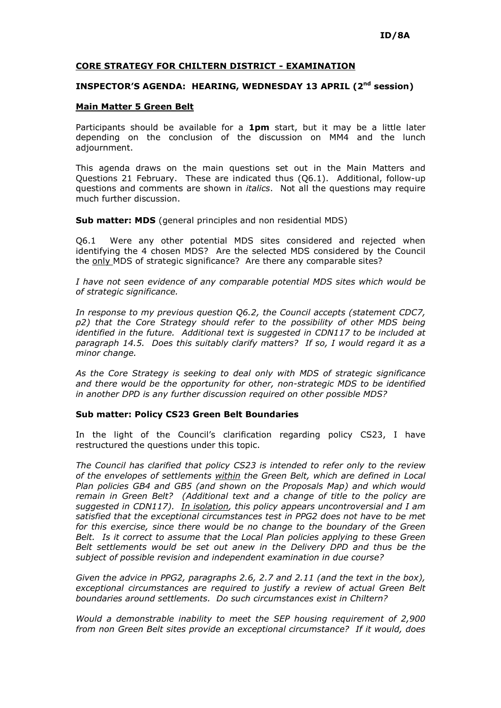## CORE STRATEGY FOR CHILTERN DISTRICT - EXAMINATION

## INSPECTOR'S AGENDA: HEARING, WEDNESDAY 13 APRIL (2<sup>nd</sup> session)

## Main Matter 5 Green Belt

Participants should be available for a 1pm start, but it may be a little later depending on the conclusion of the discussion on MM4 and the lunch adjournment.

This agenda draws on the main questions set out in the Main Matters and Questions 21 February. These are indicated thus (Q6.1). Additional, follow-up questions and comments are shown in *italics*. Not all the questions may require much further discussion.

Sub matter: MDS (general principles and non residential MDS)

Q6.1 Were any other potential MDS sites considered and rejected when identifying the 4 chosen MDS? Are the selected MDS considered by the Council the only MDS of strategic significance? Are there any comparable sites?

I have not seen evidence of any comparable potential MDS sites which would be of strategic significance.

In response to my previous question Q6.2, the Council accepts (statement CDC7, p2) that the Core Strategy should refer to the possibility of other MDS being identified in the future. Additional text is suggested in CDN117 to be included at paragraph 14.5. Does this suitably clarify matters? If so, I would regard it as a minor change.

As the Core Strategy is seeking to deal only with MDS of strategic significance and there would be the opportunity for other, non-strategic MDS to be identified in another DPD is any further discussion required on other possible MDS?

## Sub matter: Policy CS23 Green Belt Boundaries

In the light of the Council's clarification regarding policy CS23, I have restructured the questions under this topic.

The Council has clarified that policy CS23 is intended to refer only to the review of the envelopes of settlements within the Green Belt, which are defined in Local Plan policies GB4 and GB5 (and shown on the Proposals Map) and which would remain in Green Belt? (Additional text and a change of title to the policy are suggested in CDN117). <u>In isolation</u>, this policy appears uncontroversial and I am satisfied that the exceptional circumstances test in PPG2 does not have to be met for this exercise, since there would be no change to the boundary of the Green Belt. Is it correct to assume that the Local Plan policies applying to these Green Belt settlements would be set out anew in the Delivery DPD and thus be the subject of possible revision and independent examination in due course?

Given the advice in PPG2, paragraphs 2.6, 2.7 and 2.11 (and the text in the box), exceptional circumstances are required to justify a review of actual Green Belt boundaries around settlements. Do such circumstances exist in Chiltern?

Would a demonstrable inability to meet the SEP housing requirement of 2,900 from non Green Belt sites provide an exceptional circumstance? If it would, does